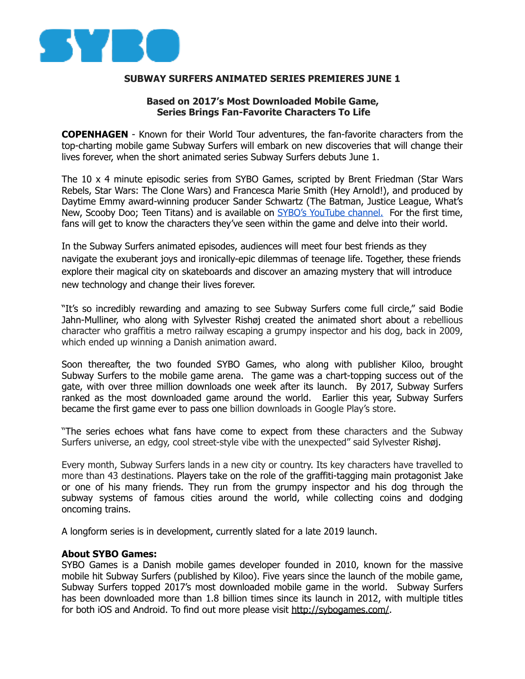

## **SUBWAY SURFERS ANIMATED SERIES PREMIERES JUNE 1**

## **Based on 2017's Most Downloaded Mobile Game, Series Brings Fan-Favorite Characters To Life**

**COPENHAGEN** - Known for their World Tour adventures, the fan-favorite characters from the top-charting mobile game Subway Surfers will embark on new discoveries that will change their lives forever, when the short animated series Subway Surfers debuts June 1.

The 10 x 4 minute episodic series from SYBO Games, scripted by Brent Friedman (Star Wars Rebels, Star Wars: The Clone Wars) and Francesca Marie Smith (Hey Arnold!), and produced by Daytime Emmy award-winning producer Sander Schwartz (The Batman, Justice League, What's New, Scooby Doo; Teen Titans) and is available on [SYBO's YouTube channel.](https://www.youtube.com/user/SyboGames) For the first time, fans will get to know the characters they've seen within the game and delve into their world.

In the Subway Surfers animated episodes, audiences will meet four best friends as they navigate the exuberant joys and ironically-epic dilemmas of teenage life. Together, these friends explore their magical city on skateboards and discover an amazing mystery that will introduce new technology and change their lives forever.

"It's so incredibly rewarding and amazing to see Subway Surfers come full circle," said Bodie Jahn-Mulliner, who along with Sylvester Rishøj created the animated short about a rebellious character who graffitis a metro railway escaping a grumpy inspector and his dog, back in 2009, which ended up winning a Danish animation award.

Soon thereafter, the two founded SYBO Games, who along with publisher Kiloo, brought Subway Surfers to the mobile game arena. The game was a chart-topping success out of the gate, with over three million downloads one week after its launch. By 2017, Subway Surfers ranked as the most downloaded game around the world. Earlier this year, Subway Surfers became the first game ever to pass one billion downloads in Google Play's store.

"The series echoes what fans have come to expect from these characters and the Subway Surfers universe, an edgy, cool street-style vibe with the unexpected" said Sylvester Rishøj.

Every month, Subway Surfers lands in a new city or country. Its key characters have travelled to more than 43 destinations. Players take on the role of the graffiti-tagging main protagonist Jake or one of his many friends. They run from the grumpy inspector and his dog through the subway systems of famous cities around the world, while collecting coins and dodging oncoming trains.

A longform series is in development, currently slated for a late 2019 launch.

## **About SYBO Games:**

SYBO Games is a Danish mobile games developer founded in 2010, known for the massive mobile hit Subway Surfers (published by Kiloo). Five years since the launch of the mobile game, Subway Surfers topped 2017's most downloaded mobile game in the world. Subway Surfers has been downloaded more than 1.8 billion times since its launch in 2012, with multiple titles for both iOS and Android. To find out more please visit<http://sybogames.com/>.